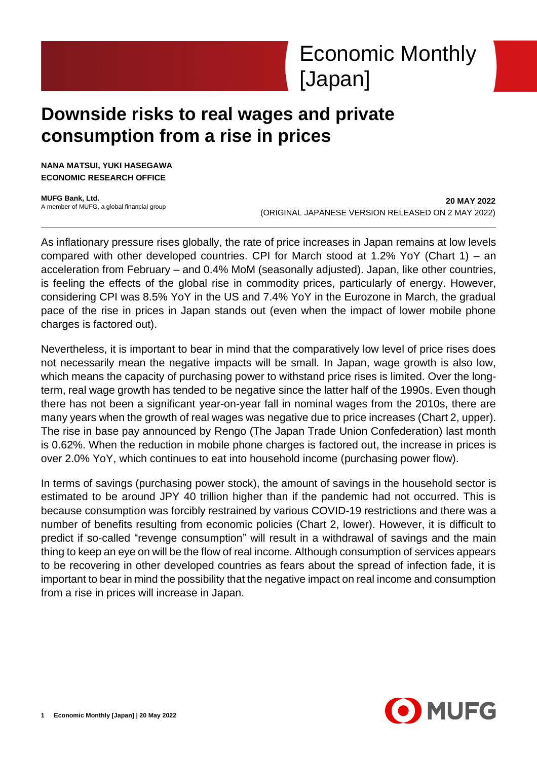

# **Downside risks to real wages and private consumption from a rise in prices**

**NANA MATSUI, YUKI HASEGAWA ECONOMIC RESEARCH OFFICE**

**MUFG Bank, Ltd.** A member of MUFG, a global financial group

**20 MAY 2022** (ORIGINAL JAPANESE VERSION RELEASED ON 2 MAY 2022)

As inflationary pressure rises globally, the rate of price increases in Japan remains at low levels compared with other developed countries. CPI for March stood at 1.2% YoY (Chart 1) – an acceleration from February – and 0.4% MoM (seasonally adjusted). Japan, like other countries, is feeling the effects of the global rise in commodity prices, particularly of energy. However, considering CPI was 8.5% YoY in the US and 7.4% YoY in the Eurozone in March, the gradual pace of the rise in prices in Japan stands out (even when the impact of lower mobile phone charges is factored out).

Nevertheless, it is important to bear in mind that the comparatively low level of price rises does not necessarily mean the negative impacts will be small. In Japan, wage growth is also low, which means the capacity of purchasing power to withstand price rises is limited. Over the longterm, real wage growth has tended to be negative since the latter half of the 1990s. Even though there has not been a significant year-on-year fall in nominal wages from the 2010s, there are many years when the growth of real wages was negative due to price increases (Chart 2, upper). The rise in base pay announced by Rengo (The Japan Trade Union Confederation) last month is 0.62%. When the reduction in mobile phone charges is factored out, the increase in prices is over 2.0% YoY, which continues to eat into household income (purchasing power flow).

In terms of savings (purchasing power stock), the amount of savings in the household sector is estimated to be around JPY 40 trillion higher than if the pandemic had not occurred. This is because consumption was forcibly restrained by various COVID-19 restrictions and there was a number of benefits resulting from economic policies (Chart 2, lower). However, it is difficult to predict if so-called "revenge consumption" will result in a withdrawal of savings and the main thing to keep an eye on will be the flow of real income. Although consumption of services appears to be recovering in other developed countries as fears about the spread of infection fade, it is important to bear in mind the possibility that the negative impact on real income and consumption from a rise in prices will increase in Japan.

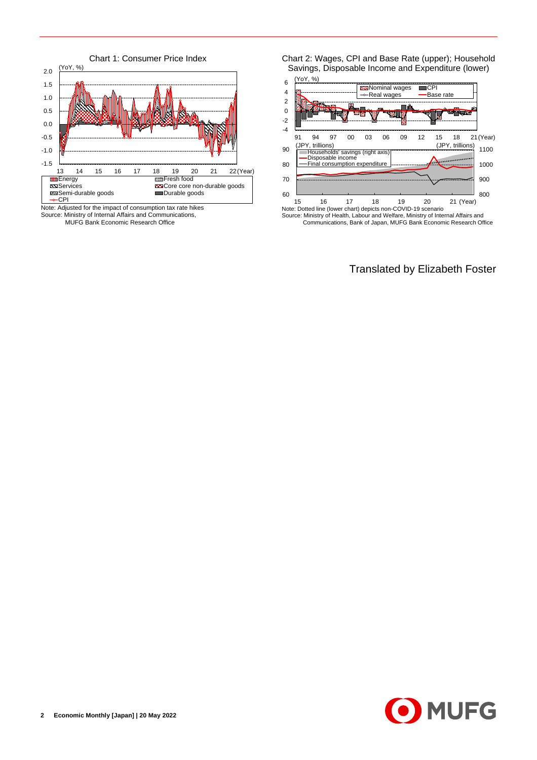

Source: Ministry of Internal Affairs and Communications, MUFG Bank Economic Research Office

Chart 2: Wages, CPI and Base Rate (upper); Household Savings, Disposable Income and Expenditure (lower)



Communications, Bank of Japan, MUFG Bank Economic Research Office

Translated by Elizabeth Foster

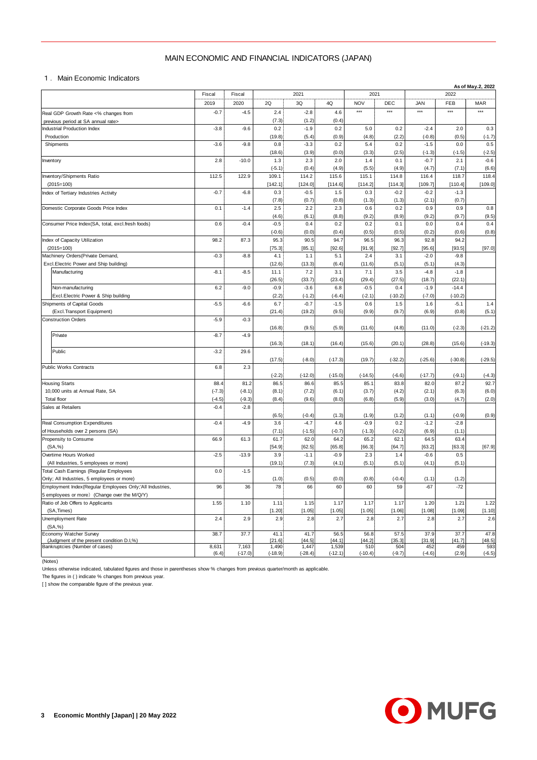## MAIN ECONOMIC AND FINANCIAL INDICATORS (JAPAN)

|                                                                                                        | MAIN ECONOMIC AND FINANCIAL INDICATORS (JAPAN) |           |                 |                    |                    |                 |                   |                    |                     |                    |
|--------------------------------------------------------------------------------------------------------|------------------------------------------------|-----------|-----------------|--------------------|--------------------|-----------------|-------------------|--------------------|---------------------|--------------------|
| 1. Main Economic Indicators                                                                            |                                                |           |                 |                    |                    |                 |                   |                    |                     |                    |
|                                                                                                        | Fiscal                                         | Fiscal    | 2021<br>2021    |                    |                    |                 |                   |                    | 2022                | As of May.2, 2022  |
|                                                                                                        | 2019                                           | 2020      | 2Q              | 3Q                 | 4Q                 | <b>NOV</b>      | DEC               | <b>JAN</b>         | FEB                 | <b>MAR</b>         |
| Real GDP Growth Rate <% changes from                                                                   | $-0.7$                                         | $-4.5$    | 2.4             | $-2.8$             | 4.6                | $***$           | $***$             | $***$              | ***                 | $***$              |
| previous period at SA annual rate><br>Industrial Production Index                                      | $-3.8$                                         | $-9.6$    | (7.3)<br>0.2    | (1.2)<br>$-1.9$    | (0.4)<br>0.2       | 5.0             | 0.2               | $-2.4$             | 2.0                 | 0.3                |
| Production                                                                                             |                                                |           | (19.8)          | (5.4)              | (0.9)              | (4.8)           | (2.2)             | $(-0.8)$           | (0.5)               | $(-1.7)$           |
| Shipments                                                                                              | $-3.6$                                         | $-9.8$    | 0.8             | $-3.3$             | 0.2                | 5.4             | 0.2               | $-1.5$             | 0.0                 | 0.5                |
| Inventory                                                                                              | 2.8                                            | $-10.0$   | (18.6)<br>1.3   | (3.9)<br>2.3       | (0.0)<br>2.0       | (3.3)<br>1.4    | (2.5)<br>0.1      | $(-1.3)$<br>$-0.7$ | $(-1.5)$<br>2.1     | $(-2.5)$<br>$-0.6$ |
|                                                                                                        |                                                |           | $(-5.1)$        | (0.4)              | (4.9)              | (5.5)           | (4.9)             | (4.7)              | (7.1)               | (6.6)              |
| Inventory/Shipments Ratio                                                                              | 112.5                                          | 122.9     | 109.1           | 114.2              | 115.6              | 115.1           | 114.8             | 116.4              | 118.7               | 118.4              |
| $(2015=100)$<br>Index of Tertiary Industries Activity                                                  | $-0.7$                                         | $-6.8$    | [142.1]<br>0.3  | [124.0]<br>$-0.5$  | [114.6]<br>1.5     | [114.2]<br>0.3  | [114.3]<br>$-0.2$ | [109.7]<br>$-0.2$  | [110.4]<br>$-1.3$   | [109.0]            |
|                                                                                                        |                                                |           | (7.8)           | (0.7)              | (0.8)              | (1.3)           | (1.3)             | (2.1)              | (0.7)               |                    |
| Domestic Corporate Goods Price Index                                                                   | 0.1                                            | $-1.4$    | 2.5             | 2.2                | 2.3                | 0.6             | 0.2               | 0.9                | 0.9                 | 0.8                |
| Consumer Price Index(SA, total, excl.fresh foods)                                                      | 0.6                                            | $-0.4$    | (4.6)<br>$-0.5$ | (6.1)<br>0.4       | (8.8)<br>0.2       | (9.2)<br>0.2    | (8.9)<br>0.1      | (9.2)<br>0.0       | (9.7)<br>0.4        | (9.5)<br>0.4       |
|                                                                                                        |                                                |           | $(-0.6)$        | (0.0)              | (0.4)              | (0.5)           | (0.5)             | (0.2)              | (0.6)               | (0.8)              |
| Index of Capacity Utilization                                                                          | 98.2                                           | 87.3      | 95.3            | 90.5               | 94.7               | 96.5            | 96.3              | 92.8               | 94.2                |                    |
| $(2015=100)$                                                                                           |                                                |           | [75.3]          | [85.1]             | [92.6]             | [91.9]          | [92.7]            | [95.6]             | [93.5]              | [97.0]             |
| Machinery Orders (Private Demand,<br>Excl.Electric Power and Ship building)                            | $-0.3$                                         | $-8.8$    | 4.1<br>(12.6)   | 1.1<br>(13.3)      | 5.1<br>(6.4)       | 2.4<br>(11.6)   | 3.1<br>(5.1)      | $-2.0$<br>(5.1)    | $-9.8$<br>(4.3)     |                    |
| Manufacturing                                                                                          | $-8.1$                                         | $-8.5$    | 11.1            | 7.2                | 3.1                | 7.1             | 3.5               | $-4.8$             | $-1.8$              |                    |
|                                                                                                        |                                                |           | (26.5)          | (33.7)             | (23.4)             | (29.4)          | (27.5)            | (18.7)             | (22.1)              |                    |
| Non-manufacturing                                                                                      | 6.2                                            | $-9.0$    | $-0.9$          | $-3.6$             | 6.8                | $-0.5$          | 0.4               | $-1.9$             | $-14.4$             |                    |
| Excl. Electric Power & Ship building<br>Shipments of Capital Goods                                     | $-5.5$                                         | $-6.6$    | (2.2)<br>6.7    | $(-1.2)$<br>$-0.7$ | $(-6.4)$<br>$-1.5$ | $(-2.1)$<br>0.6 | $(-10.2)$<br>1.5  | $(-7.0)$<br>1.6    | $(-10.2)$<br>$-5.1$ | 1.4                |
| (Excl.Transport Equipment)                                                                             |                                                |           | (21.4)          | (19.2)             | (9.5)              | (9.9)           | (9.7)             | (6.9)              | (0.8)               | (5.1)              |
| <b>Construction Orders</b>                                                                             | $-5.9$                                         | $-0.3$    |                 |                    |                    |                 |                   |                    |                     |                    |
|                                                                                                        |                                                |           | (16.8)          | (9.5)              | (5.9)              | (11.6)          | (4.8)             | (11.0)             | $(-2.3)$            | $(-21.2)$          |
| Private                                                                                                | $-8.7$                                         | $-4.9$    | (16.3)          | (18.1)             | (16.4)             | (15.6)          | (20.1)            | (28.8)             | (15.6)              | $(-19.3)$          |
| Public                                                                                                 | $-3.2$                                         | 29.6      |                 |                    |                    |                 |                   |                    |                     |                    |
|                                                                                                        |                                                |           | (17.5)          | $(-8.0)$           | $(-17.3)$          | (19.7)          | $(-32.2)$         | $(-25.6)$          | $(-30.8)$           | $(-29.5)$          |
| Public Works Contracts                                                                                 | 6.8                                            | 2.3       | $(-2.2)$        | $(-12.0)$          | $(-15.0)$          | $(-14.5)$       | $(-6.6)$          | $(-17.7)$          | $(-9.1)$            |                    |
| <b>Housing Starts</b>                                                                                  | 88.4                                           | 81.2      | 86.5            | 86.6               | 85.5               | 85.1            | 83.8              | 82.0               | 87.2                | $(-4.3)$<br>92.7   |
| 10,000 units at Annual Rate, SA                                                                        | $(-7.3)$                                       | $(-8.1)$  | (8.1)           | (7.2)              | (6.1)              | (3.7)           | (4.2)             | (2.1)              | (6.3)               | (6.0)              |
| <b>Total floor</b>                                                                                     | $(-4.5)$                                       | $(-9.3)$  | (8.4)           | (9.6)              | (8.0)              | (6.8)           | (5.9)             | (3.0)              | (4.7)               | (2.0)              |
| Sales at Retailers                                                                                     | $-0.4$                                         | $-2.8$    | (6.5)           | $(-0.4)$           | (1.3)              | (1.9)           | (1.2)             | (1.1)              | $(-0.9)$            | (0.9)              |
| Real Consumption Expenditures                                                                          | $-0.4$                                         | $-4.9$    | 3.6             | $-4.7$             | 4.6                | $-0.9$          | 0.2               | $-1.2$             | $-2.8$              |                    |
| of Households over 2 persons (SA)                                                                      |                                                |           | (7.1)           | $(-1.5)$           | $(-0.7)$           | $(-1.3)$        | $(-0.2)$          | (6.9)              | (1.1)               |                    |
| Propensity to Consume                                                                                  | 66.9                                           | 61.3      | 61.7            | 62.0               | 64.2               | 65.2            | 62.1              | 64.5               | 63.4                |                    |
| (SA, %)<br>Overtime Hours Worked                                                                       | $-2.5$                                         | $-13.9$   | [54.9]<br>3.9   | [62.5]<br>$-1.1$   | [65.8]<br>$-0.9$   | [66.3]<br>2.3   | [64.7]<br>$1.4$   | [63.2]<br>$-0.6$   | [63.3]<br>0.5       | [67.9]             |
| (All Industries, 5 employees or more)                                                                  |                                                |           | (19.1)          | (7.3)              | (4.1)              | (5.1)           | (5.1)             | (4.1)              | (5.1)               |                    |
| Total Cash Earnings (Regular Employees                                                                 | 0.0                                            | $-1.5$    |                 |                    |                    |                 |                   |                    |                     |                    |
| Only; All Industries, 5 employees or more)<br>Employment Index(Regular Employees Only;'All Industries, | 96                                             | 36        | (1.0)<br>78     | (0.5)<br>66        | (0.0)<br>60        | (0.8)<br>60     | $(-0.4)$<br>59    | (1.1)<br>$-67$     | (1.2)<br>$-72$      |                    |
| 5 employees or more) (Change over the M/Q/Y)                                                           |                                                |           |                 |                    |                    |                 |                   |                    |                     |                    |
| Ratio of Job Offers to Applicants                                                                      | 1.55                                           | 1.10      | 1.11            | 1.15               | 1.17               | 1.17            | 1.17              | 1.20               | 1.21                | 1.22               |
| (SA, Times)                                                                                            |                                                |           | [1.20]          | [1.05]             | [1.05]             | [1.05]          | [1.06]            | [1.08]             | [1.09]              | [1.10]             |
| Unemployment Rate                                                                                      | 2.4                                            | 2.9       | 2.9             | 2.8                | 2.7                | 2.8             | 2.7               | 2.8                | 2.7                 | 2.6                |
| (SA, %)<br>Economy Watcher Survey                                                                      | 38.7                                           | 37.7      | 41.1            | 41.7               | 56.5               | 56.8            | 57.5              | 37.9               | 37.7                | 47.8               |
| (Judgment of the present condition D.I,%)<br>Bankruptcies (Number of cases)                            | 8,631                                          | 7,163     | [21.6]<br>1,490 | [44.5]<br>1,447    | [44.1]<br>1,539    | [44.2]<br>510   | [35.3]<br>504     | [31.9]<br>452      | [41.7]<br>459       | [48.5]<br>593      |
|                                                                                                        | (6.4)                                          | $(-17.0)$ | $(-18.9)$       | $(-28.4)$          | $(-12.1)$          | $(-10.4)$       | $(-9.7)$          | $(-4.6)$           | (2.9)               | $(-6.5)$           |

(Notes)

Unless otherwise indicated, tabulated figures and those in parentheses show % changes from previous quarter/month as applicable.

The figures in ( ) indicate % changes from previous year.

[ ] show the comparable figure of the previous year.